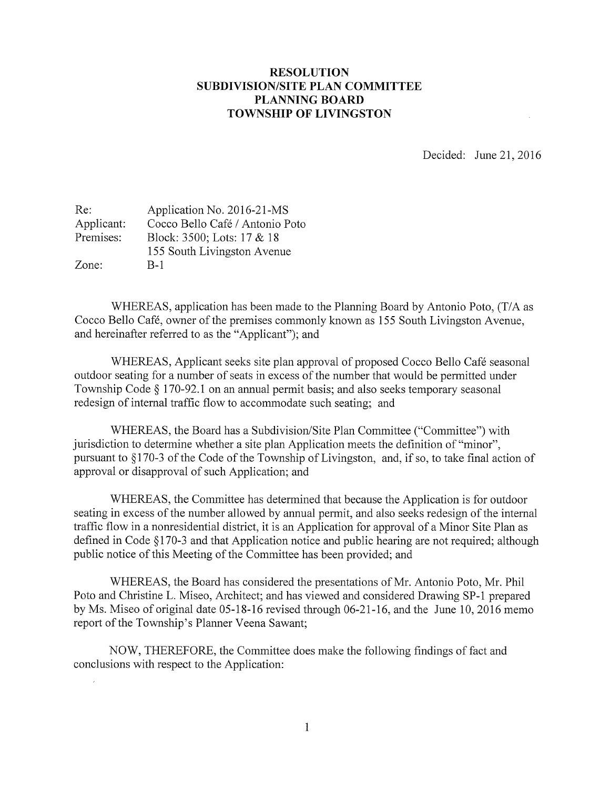## RESOLUTION SUBDIVISION/SITE PLAN COMMITTEE PLANNING BOARD TOWNSHIP OF LIVINGSTON

Decided: June 21, 2016

| Re:        | Application No. 2016-21-MS      |
|------------|---------------------------------|
| Applicant: | Cocco Bello Café / Antonio Poto |
| Premises:  | Block: 3500; Lots: 17 & 18      |
|            | 155 South Livingston Avenue     |
| Zone:      | B-1                             |

WHEREAS, application has been made to the Planning Board by Antonio Poto, (T/A as Cocco Bello Café, owner of the premises commonly known as 155 South Livingston Avenue, and hereinafter referred to as the "Applicant"); and

WHEREAS, Applicant seeks site plan approval of proposed Cocco Bello Café seasonal outdoor seating for <sup>a</sup> number of seats in excess of the number that would be permitted under Township Code § 170-92.1 on an annual permit basis; and also seeks temporary seasonal redesign of internal traffic flow to accommodate such seating; and

WHEREAS, the Board has a Subdivision/Site Plan Committee ("Committee") with jurisdiction to determine whether <sup>a</sup> site plan Application meets the definition of "minor", pursuant to §170-3 of the Code of the Township of Livingston, and, if so, to take final action of approval or disapproval of such Application; and

WHEREAS, the Committee has determined that because the Application is for outdoor seating in excess of the number allowed by annual permit, and also seeks redesign of the internal traffic flow in a nonresidential district, it is an Application for approval of <sup>a</sup> Minor Site Plan as defined in Code § 170-3 and that Application notice and public hearing are not required; although public notice of this Meeting of the Committee has been provided; and

WHEREAS, the Board has considered the presentations of Mr. Antonio Poto, Mr. Phil Poto and Christine L. Miseo, Architect; and has viewed and considered Drawing SP-1 prepared by Ms. Miseo of original date 05-18-16 revised through 06-21-16, and the June 10, 2016 memo report of the Township's Planner Veena Sawant;

NOW, THEREFORE, the Committee does make the following findings of fact and conclusions with respect to the Application: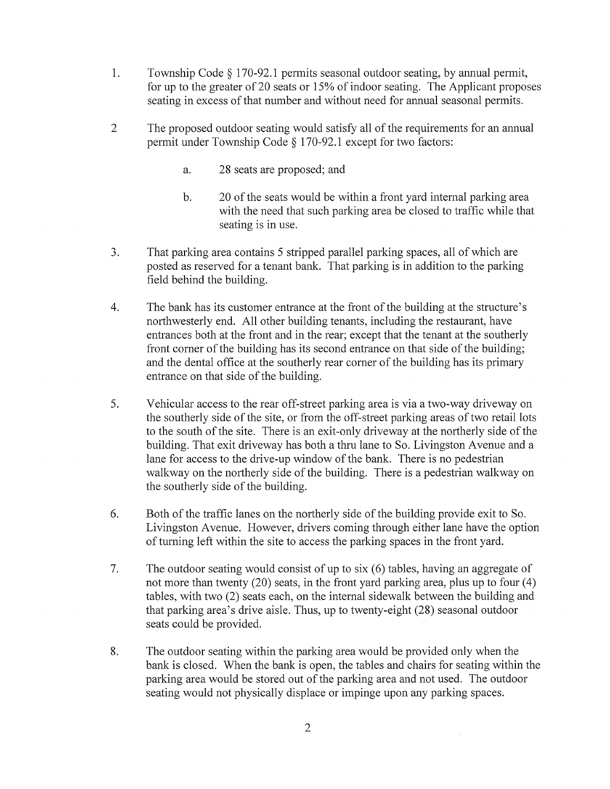- 1. Township Code § 170-92.1 permits seasonal outdoor seating, by annual permit, for up to the greater of 20 seats or 15% of indoor seating. The Applicant proposes seating in excess of that number and without need for annual seasonal permits.
- 2 The proposed outdoor seating would satisfy all of the requirements for an annual permit under Township Code § 170-92.1 except for two factors:
	- a. 28 seats are proposed; and
	- b. 20 of the seats would be within <sup>a</sup> front yard internal parking area with the need that such parking area be closed to traffic while that seating is in use.
- 3. That parking area contains <sup>5</sup> stripped parallel parking spaces, all of which are posted as reserved for a tenant bank. That parking is in addition to the parking field behind the building.
- 4. The bank has its customer entrance at the front of the building at the structure's northwesterly end. All other building tenants, including the restaurant, have entrances both at the front and in the rear; except that the tenant at the southerly front corner of the building has its second entrance on that side of the building; and the dental office at the southerly rear corner of the building has its primary entrance on that side of the building.
- 5. Vehicular access to the rear off-street parking area is via a two-way driveway on the southerly side of the site, or from the off-street parking areas of two retail lots to the south of the site. There is an exit-only driveway at the northerly side of the building. That exit driveway has both a thru lane to So. Livingston Avenue and a lane for access to the drive-up window of the bank. There is no pedestrian walkway on the northerly side of the building. There is <sup>a</sup> pedestrian walkway on the southerly side of the building.
- 6. Both of the traffic lanes on the northerly side of the building provide exit to So. Livingston Avenue. However, drivers coming through either lane have the option of turning left within the site to access the parking spaces in the front yard.
- 7. The outdoor seating would consist of up to six (6) tables, having an aggregate of not more than twenty (20) seats, in the front yard parking area, plus up to four (4) tables, with two (2) seats each, on the internal sidewalk between the building and that parking area's drive aisle. Thus, up to twenty-eight (28) seasonal outdoor seats could be provided.
- 8. The outdoor seating within the parking area would be provided only when the bank is closed. When the bank is open, the tables and chairs for seating within the parking area would be stored out of the parking area and not used. The outdoor seating would not physically displace or impinge upon any parking spaces.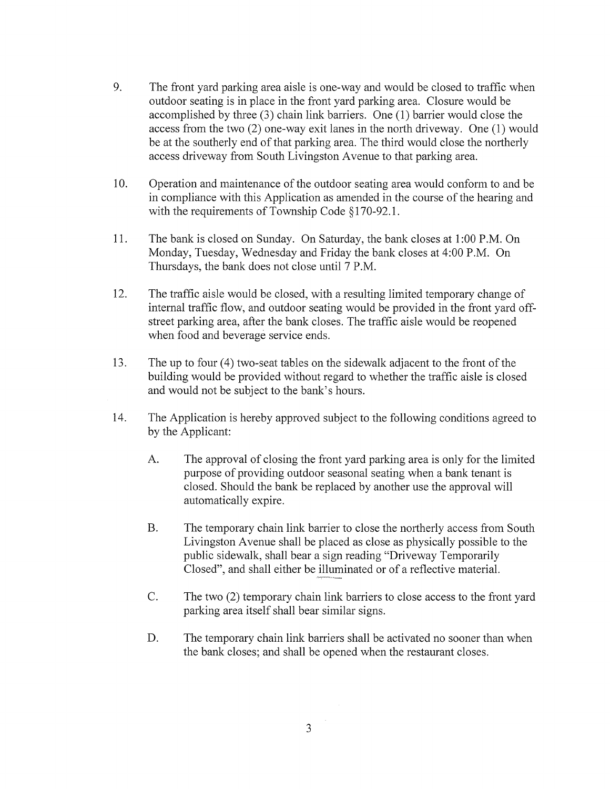- 9. The front yard parking area aisle is one-way and would be closed to traffic when outdoor seating is in place in the front yard parking area. Closure would be accomplished by three (3) chain link barriers. One (1) barrier would close the access from the two (2) one-way exit lanes in the north driveway. One (1) would be at the southerly end of that parking area. The third would close the northerly access driveway from South Livingston Avenue to that parking area.
- 10. Operation and maintenance of the outdoor seating area would conform to and be in compliance with this Application as amended in the course of the hearing and with the requirements of Township Code §170-92.1.
- 11. The bank is closed on Sunday. On Saturday, the bank closes at 1:00 P.M. On Monday, Tuesday, Wednesday and Friday the bank closes at 4:00 P.M. On Thursdays, the bank does not close until 7 P.M.
- 12. The traffic aisle would be closed, with <sup>a</sup> resulting limited temporary change of internal traffic flow, and outdoor seating would be provided in the front yard offstreet parking area, afler the bank closes. The traffic aisle would be reopened when food and beverage service ends.
- 13. The up to four (4) two-seat tables on the sidewalk adjacent to the front of the building would be provided without regard to whether the traffic aisle is closed and would not be subject to the bank's hours.
- 14. The Application is hereby approved subject to the following conditions agreed to by the Applicant:
	- A. The approval of closing the front yard parking area is only for the limited purpose of providing outdoor seasonal seating when <sup>a</sup> bank tenant is closed. Should the bank be replaced by another use the approval will automatically expire.
	- B. The temporary chain link barrier to close the northerly access from South Livingston Avenue shall be placed as close as physically possible to the public sidewalk, shall bear a sign reading "Driveway Temporarily Closed", and shall either be illuminated or of a reflective material.
	- C. The two (2) temporary chain link barriers to close access to the front yard parking area itself shall bear similar signs.
	- D. The temporary chain link barriers shall be activated no sooner than when the bank closes; and shall be opened when the restaurant closes.